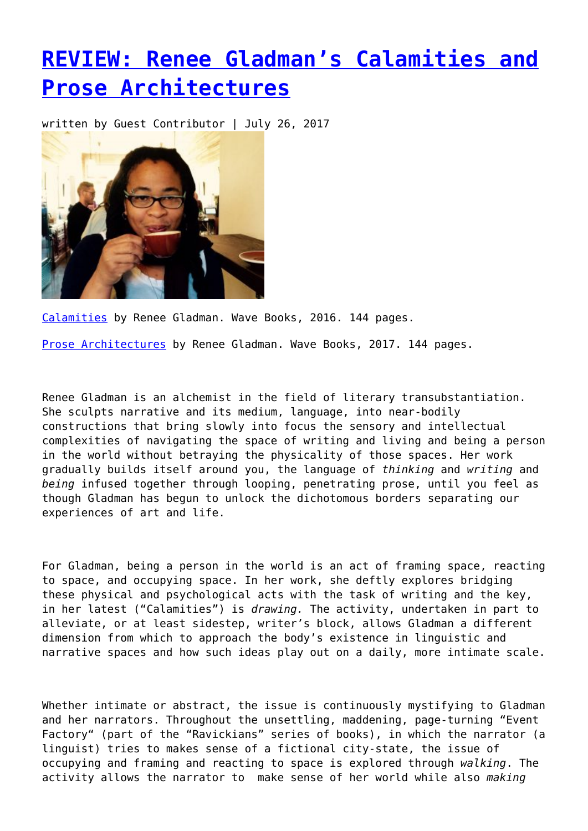## **[REVIEW: Renee Gladman's Calamities and](https://entropymag.org/review-renee-gladmans-calamities-and-prose-architectures/) [Prose Architectures](https://entropymag.org/review-renee-gladmans-calamities-and-prose-architectures/)**

written by Guest Contributor | July 26, 2017



[Calamities](https://www.wavepoetry.com/products/calamities) by Renee Gladman. Wave Books, 2016. 144 pages.

[Prose Architectures](https://www.wavepoetry.com/products/prose-architectures) by Renee Gladman. Wave Books, 2017. 144 pages.

Renee Gladman is an alchemist in the field of literary transubstantiation. She sculpts narrative and its medium, language, into near-bodily constructions that bring slowly into focus the sensory and intellectual complexities of navigating the space of writing and living and being a person in the world without betraying the physicality of those spaces. Her work gradually builds itself around you, the language of *thinking* and *writing* and *being* infused together through looping, penetrating prose, until you feel as though Gladman has begun to unlock the dichotomous borders separating our experiences of art and life.

For Gladman, being a person in the world is an act of framing space, reacting to space, and occupying space. In her work, she deftly explores bridging these physical and psychological acts with the task of writing and the key, in her latest ("Calamities") is *drawing.* The activity, undertaken in part to alleviate, or at least sidestep, writer's block, allows Gladman a different dimension from which to approach the body's existence in linguistic and narrative spaces and how such ideas play out on a daily, more intimate scale.

Whether intimate or abstract, the issue is continuously mystifying to Gladman and her narrators. Throughout the unsettling, maddening, page-turning "Event Factory" (part of the "Ravickians" series of books), in which the narrator (a linguist) tries to makes sense of a fictional city-state, the issue of occupying and framing and reacting to space is explored through *walking*. The activity allows the narrator to make sense of her world while also *making*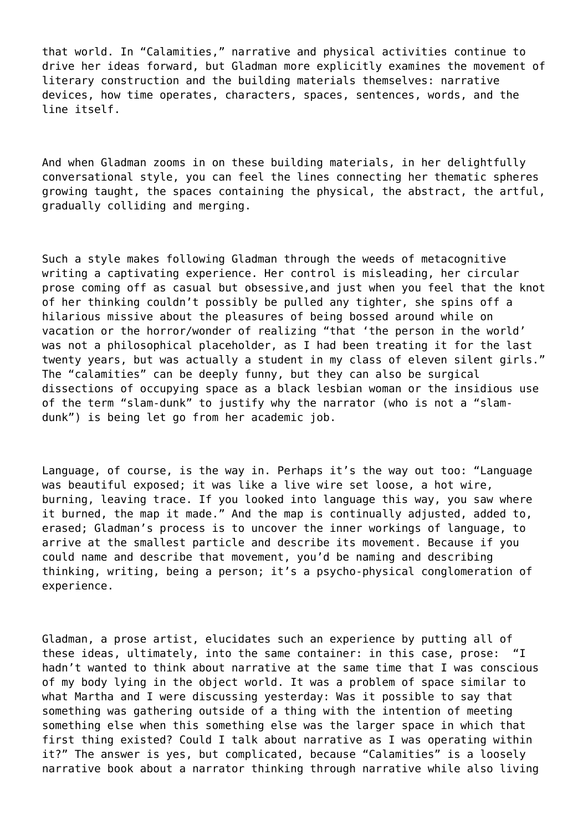that world. In "Calamities," narrative and physical activities continue to drive her ideas forward, but Gladman more explicitly examines the movement of literary construction and the building materials themselves: narrative devices, how time operates, characters, spaces, sentences, words, and the line itself.

And when Gladman zooms in on these building materials, in her delightfully conversational style, you can feel the lines connecting her thematic spheres growing taught, the spaces containing the physical, the abstract, the artful, gradually colliding and merging.

Such a style makes following Gladman through the weeds of metacognitive writing a captivating experience. Her control is misleading, her circular prose coming off as casual but obsessive,and just when you feel that the knot of her thinking couldn't possibly be pulled any tighter, she spins off a hilarious missive about the pleasures of being bossed around while on vacation or the horror/wonder of realizing "that 'the person in the world' was not a philosophical placeholder, as I had been treating it for the last twenty years, but was actually a student in my class of eleven silent girls." The "calamities" can be deeply funny, but they can also be surgical dissections of occupying space as a black lesbian woman or the insidious use of the term "slam-dunk" to justify why the narrator (who is not a "slamdunk") is being let go from her academic job.

Language, of course, is the way in. Perhaps it's the way out too: "Language was beautiful exposed; it was like a live wire set loose, a hot wire, burning, leaving trace. If you looked into language this way, you saw where it burned, the map it made." And the map is continually adjusted, added to, erased; Gladman's process is to uncover the inner workings of language, to arrive at the smallest particle and describe its movement. Because if you could name and describe that movement, you'd be naming and describing thinking, writing, being a person; it's a psycho-physical conglomeration of experience.

Gladman, a prose artist, elucidates such an experience by putting all of these ideas, ultimately, into the same container: in this case, prose: "I hadn't wanted to think about narrative at the same time that I was conscious of my body lying in the object world. It was a problem of space similar to what Martha and I were discussing yesterday: Was it possible to say that something was gathering outside of a thing with the intention of meeting something else when this something else was the larger space in which that first thing existed? Could I talk about narrative as I was operating within it?" The answer is yes, but complicated, because "Calamities" is a loosely narrative book about a narrator thinking through narrative while also living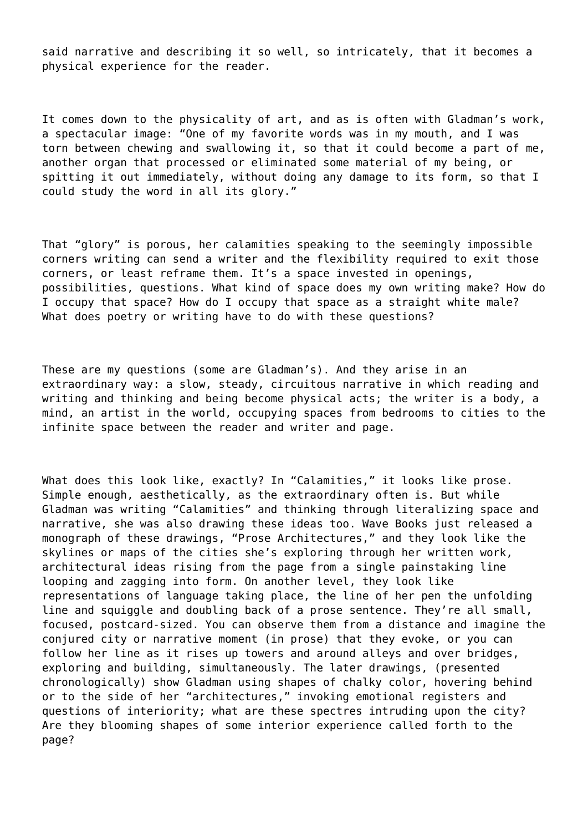said narrative and describing it so well, so intricately, that it becomes a physical experience for the reader.

It comes down to the physicality of art, and as is often with Gladman's work, a spectacular image: "One of my favorite words was in my mouth, and I was torn between chewing and swallowing it, so that it could become a part of me, another organ that processed or eliminated some material of my being, or spitting it out immediately, without doing any damage to its form, so that I could study the word in all its glory."

That "glory" is porous, her calamities speaking to the seemingly impossible corners writing can send a writer and the flexibility required to exit those corners, or least reframe them. It's a space invested in openings, possibilities, questions. What kind of space does my own writing make? How do I occupy that space? How do I occupy that space as a straight white male? What does poetry or writing have to do with these questions?

These are my questions (some are Gladman's). And they arise in an extraordinary way: a slow, steady, circuitous narrative in which reading and writing and thinking and being become physical acts; the writer is a body, a mind, an artist in the world, occupying spaces from bedrooms to cities to the infinite space between the reader and writer and page.

What does this look like, exactly? In "Calamities," it looks like prose. Simple enough, aesthetically, as the extraordinary often is. But while Gladman was writing "Calamities" and thinking through literalizing space and narrative, she was also drawing these ideas too. Wave Books just released a monograph of these drawings, "Prose Architectures," and they look like the skylines or maps of the cities she's exploring through her written work, architectural ideas rising from the page from a single painstaking line looping and zagging into form. On another level, they look like representations of language taking place, the line of her pen the unfolding line and squiggle and doubling back of a prose sentence. They're all small, focused, postcard-sized. You can observe them from a distance and imagine the conjured city or narrative moment (in prose) that they evoke, or you can follow her line as it rises up towers and around alleys and over bridges, exploring and building, simultaneously. The later drawings, (presented chronologically) show Gladman using shapes of chalky color, hovering behind or to the side of her "architectures," invoking emotional registers and questions of interiority; what are these spectres intruding upon the city? Are they blooming shapes of some interior experience called forth to the page?